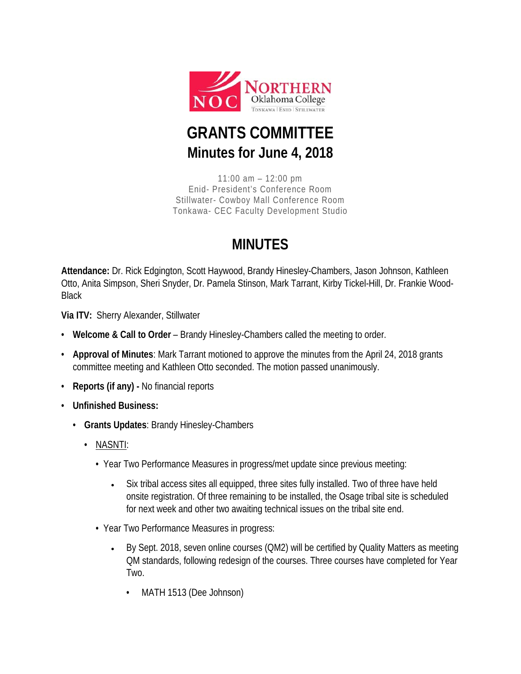

## **GRANTS COMMITTEE Minutes for June 4, 2018**

11:00 am – 12:00 pm Enid- President's Conference Room Stillwater- Cowboy Mall Conference Room Tonkawa- CEC Faculty Development Studio

## **MINUTES**

**Attendance:** Dr. Rick Edgington, Scott Haywood, Brandy Hinesley-Chambers, Jason Johnson, Kathleen Otto, Anita Simpson, Sheri Snyder, Dr. Pamela Stinson, Mark Tarrant, Kirby Tickel-Hill, Dr. Frankie Wood-**Black** 

**Via ITV:** Sherry Alexander, Stillwater

- **Welcome & Call to Order** Brandy Hinesley-Chambers called the meeting to order.
- **Approval of Minutes**: Mark Tarrant motioned to approve the minutes from the April 24, 2018 grants committee meeting and Kathleen Otto seconded. The motion passed unanimously.
- **Reports (if any) -** No financial reports
- **Unfinished Business:**
	- **Grants Updates**: Brandy Hinesley-Chambers
		- NASNTI:
			- Year Two Performance Measures in progress/met update since previous meeting:
				- Six tribal access sites all equipped, three sites fully installed. Two of three have held onsite registration. Of three remaining to be installed, the Osage tribal site is scheduled for next week and other two awaiting technical issues on the tribal site end.
			- Year Two Performance Measures in progress:
				- By Sept. 2018, seven online courses (QM2) will be certified by Quality Matters as meeting QM standards, following redesign of the courses. Three courses have completed for Year Two.
					- MATH 1513 (Dee Johnson)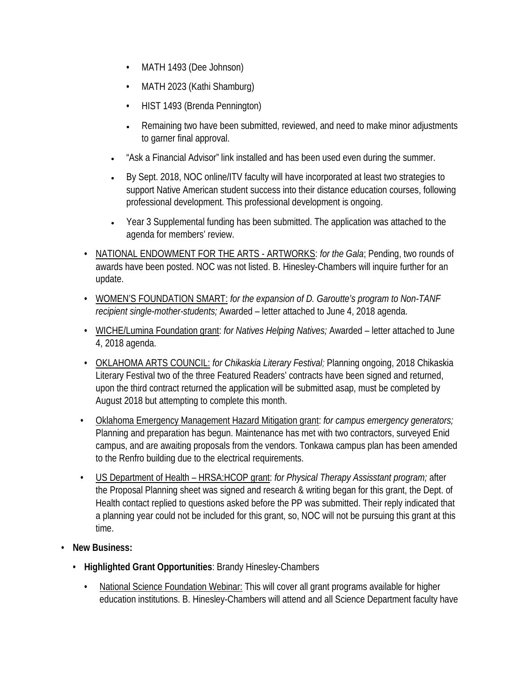- MATH 1493 (Dee Johnson)
- MATH 2023 (Kathi Shamburg)
- HIST 1493 (Brenda Pennington)
- Remaining two have been submitted, reviewed, and need to make minor adjustments to garner final approval.
- "Ask a Financial Advisor" link installed and has been used even during the summer.
- By Sept. 2018, NOC online/ITV faculty will have incorporated at least two strategies to support Native American student success into their distance education courses, following professional development. This professional development is ongoing.
- Year 3 Supplemental funding has been submitted. The application was attached to the agenda for members' review.
- NATIONAL ENDOWMENT FOR THE ARTS ARTWORKS: *for the Gala*; Pending, two rounds of awards have been posted. NOC was not listed. B. Hinesley-Chambers will inquire further for an update.
- WOMEN'S FOUNDATION SMART: *for the expansion of D. Garoutte's program to Non-TANF recipient single-mother-students;* Awarded – letter attached to June 4, 2018 agenda.
- WICHE/Lumina Foundation grant: *for Natives Helping Natives;* Awarded letter attached to June 4, 2018 agenda.
- OKLAHOMA ARTS COUNCIL: *for Chikaskia Literary Festival;* Planning ongoing, 2018 Chikaskia Literary Festival two of the three Featured Readers' contracts have been signed and returned, upon the third contract returned the application will be submitted asap, must be completed by August 2018 but attempting to complete this month.
- Oklahoma Emergency Management Hazard Mitigation grant: *for campus emergency generators;*  Planning and preparation has begun. Maintenance has met with two contractors, surveyed Enid campus, and are awaiting proposals from the vendors. Tonkawa campus plan has been amended to the Renfro building due to the electrical requirements.
- US Department of Health HRSA:HCOP grant: *for Physical Therapy Assisstant program;* after the Proposal Planning sheet was signed and research & writing began for this grant, the Dept. of Health contact replied to questions asked before the PP was submitted. Their reply indicated that a planning year could not be included for this grant, so, NOC will not be pursuing this grant at this time.
- **New Business:**
	- **Highlighted Grant Opportunities**: Brandy Hinesley-Chambers
		- National Science Foundation Webinar: This will cover all grant programs available for higher education institutions. B. Hinesley-Chambers will attend and all Science Department faculty have